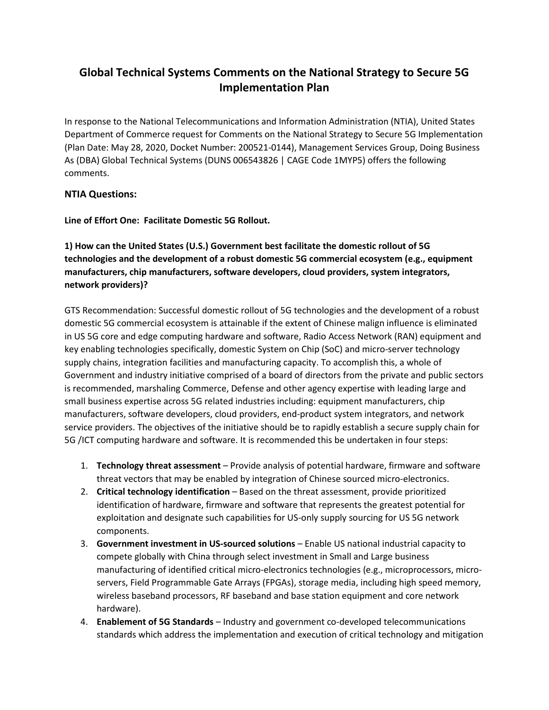# **Global Technical Systems Comments on the National Strategy to Secure 5G Implementation Plan**

In response to the National Telecommunications and Information Administration (NTIA), United States Department of Commerce request for Comments on the National Strategy to Secure 5G Implementation (Plan Date: May 28, 2020, Docket Number: 200521-0144), Management Services Group, Doing Business As (DBA) Global Technical Systems (DUNS 006543826 | CAGE Code 1MYP5) offers the following comments.

## **NTIA Questions:**

**Line of Effort One: Facilitate Domestic 5G Rollout.** 

**1) How can the United States (U.S.) Government best facilitate the domestic rollout of 5G technologies and the development of a robust domestic 5G commercial ecosystem (e.g., equipment manufacturers, chip manufacturers, software developers, cloud providers, system integrators, network providers)?**

GTS Recommendation: Successful domestic rollout of 5G technologies and the development of a robust domestic 5G commercial ecosystem is attainable if the extent of Chinese malign influence is eliminated in US 5G core and edge computing hardware and software, Radio Access Network (RAN) equipment and key enabling technologies specifically, domestic System on Chip (SoC) and micro-server technology supply chains, integration facilities and manufacturing capacity. To accomplish this, a whole of Government and industry initiative comprised of a board of directors from the private and public sectors is recommended, marshaling Commerce, Defense and other agency expertise with leading large and small business expertise across 5G related industries including: equipment manufacturers, chip manufacturers, software developers, cloud providers, end-product system integrators, and network service providers. The objectives of the initiative should be to rapidly establish a secure supply chain for 5G /ICT computing hardware and software. It is recommended this be undertaken in four steps:

- 1. **Technology threat assessment** Provide analysis of potential hardware, firmware and software threat vectors that may be enabled by integration of Chinese sourced micro-electronics.
- 2. **Critical technology identification** Based on the threat assessment, provide prioritized identification of hardware, firmware and software that represents the greatest potential for exploitation and designate such capabilities for US-only supply sourcing for US 5G network components.
- 3. **Government investment in US-sourced solutions** Enable US national industrial capacity to compete globally with China through select investment in Small and Large business manufacturing of identified critical micro-electronics technologies (e.g., microprocessors, microservers, Field Programmable Gate Arrays (FPGAs), storage media, including high speed memory, wireless baseband processors, RF baseband and base station equipment and core network hardware).
- 4. **Enablement of 5G Standards** Industry and government co-developed telecommunications standards which address the implementation and execution of critical technology and mitigation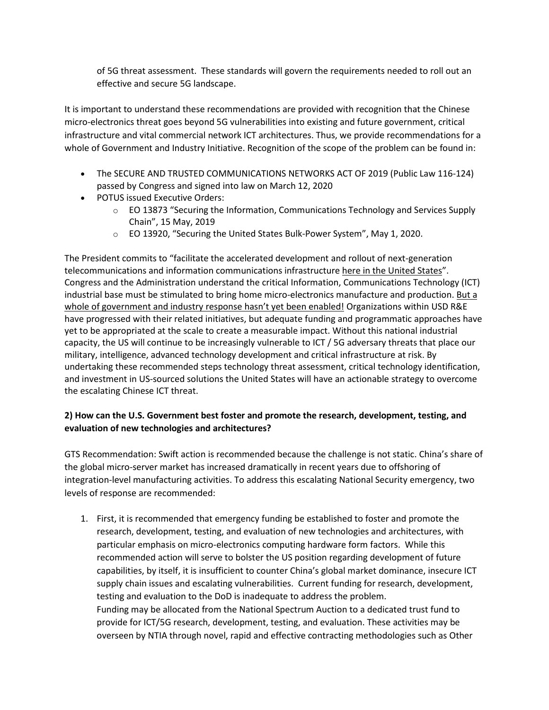of 5G threat assessment. These standards will govern the requirements needed to roll out an effective and secure 5G landscape.

It is important to understand these recommendations are provided with recognition that the Chinese micro-electronics threat goes beyond 5G vulnerabilities into existing and future government, critical infrastructure and vital commercial network ICT architectures. Thus, we provide recommendations for a whole of Government and Industry Initiative. Recognition of the scope of the problem can be found in:

- The SECURE AND TRUSTED COMMUNICATIONS NETWORKS ACT OF 2019 (Public Law 116-124) passed by Congress and signed into law on March 12, 2020
- POTUS issued Executive Orders:
	- $\circ$  EO 13873 "Securing the Information, Communications Technology and Services Supply Chain", 15 May, 2019
	- o EO 13920, "Securing the United States Bulk-Power System", May 1, 2020.

The President commits to "facilitate the accelerated development and rollout of next-generation telecommunications and information communications infrastructure here in the United States". Congress and the Administration understand the critical Information, Communications Technology (ICT) industrial base must be stimulated to bring home micro-electronics manufacture and production. But a whole of government and industry response hasn't yet been enabled! Organizations within USD R&E have progressed with their related initiatives, but adequate funding and programmatic approaches have yet to be appropriated at the scale to create a measurable impact. Without this national industrial capacity, the US will continue to be increasingly vulnerable to ICT / 5G adversary threats that place our military, intelligence, advanced technology development and critical infrastructure at risk. By undertaking these recommended steps technology threat assessment, critical technology identification, and investment in US-sourced solutions the United States will have an actionable strategy to overcome the escalating Chinese ICT threat.

## **2) How can the U.S. Government best foster and promote the research, development, testing, and evaluation of new technologies and architectures?**

GTS Recommendation: Swift action is recommended because the challenge is not static. China's share of the global micro-server market has increased dramatically in recent years due to offshoring of integration-level manufacturing activities. To address this escalating National Security emergency, two levels of response are recommended:

1. First, it is recommended that emergency funding be established to foster and promote the research, development, testing, and evaluation of new technologies and architectures, with particular emphasis on micro-electronics computing hardware form factors. While this recommended action will serve to bolster the US position regarding development of future capabilities, by itself, it is insufficient to counter China's global market dominance, insecure ICT supply chain issues and escalating vulnerabilities. Current funding for research, development, testing and evaluation to the DoD is inadequate to address the problem. Funding may be allocated from the National Spectrum Auction to a dedicated trust fund to provide for ICT/5G research, development, testing, and evaluation. These activities may be overseen by NTIA through novel, rapid and effective contracting methodologies such as Other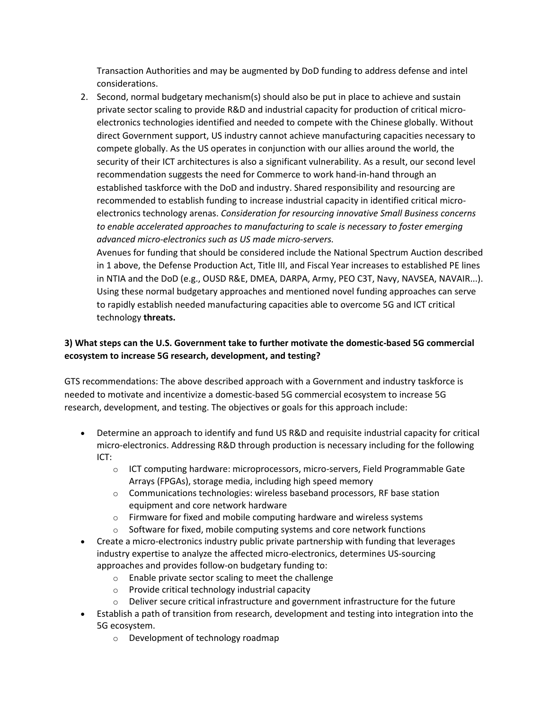Transaction Authorities and may be augmented by DoD funding to address defense and intel considerations.

2. Second, normal budgetary mechanism(s) should also be put in place to achieve and sustain private sector scaling to provide R&D and industrial capacity for production of critical microelectronics technologies identified and needed to compete with the Chinese globally. Without direct Government support, US industry cannot achieve manufacturing capacities necessary to compete globally. As the US operates in conjunction with our allies around the world, the security of their ICT architectures is also a significant vulnerability. As a result, our second level recommendation suggests the need for Commerce to work hand-in-hand through an established taskforce with the DoD and industry. Shared responsibility and resourcing are recommended to establish funding to increase industrial capacity in identified critical microelectronics technology arenas. *Consideration for resourcing innovative Small Business concerns to enable accelerated approaches to manufacturing to scale is necessary to foster emerging advanced micro-electronics such as US made micro-servers.*

Avenues for funding that should be considered include the National Spectrum Auction described in 1 above, the Defense Production Act, Title III, and Fiscal Year increases to established PE lines in NTIA and the DoD (e.g., OUSD R&E, DMEA, DARPA, Army, PEO C3T, Navy, NAVSEA, NAVAIR...). Using these normal budgetary approaches and mentioned novel funding approaches can serve to rapidly establish needed manufacturing capacities able to overcome 5G and ICT critical technology **threats.** 

# **3) What steps can the U.S. Government take to further motivate the domestic-based 5G commercial ecosystem to increase 5G research, development, and testing?**

GTS recommendations: The above described approach with a Government and industry taskforce is needed to motivate and incentivize a domestic-based 5G commercial ecosystem to increase 5G research, development, and testing. The objectives or goals for this approach include:

- Determine an approach to identify and fund US R&D and requisite industrial capacity for critical micro-electronics. Addressing R&D through production is necessary including for the following ICT:
	- $\circ$  ICT computing hardware: microprocessors, micro-servers, Field Programmable Gate Arrays (FPGAs), storage media, including high speed memory
	- o Communications technologies: wireless baseband processors, RF base station equipment and core network hardware
	- o Firmware for fixed and mobile computing hardware and wireless systems
	- $\circ$  Software for fixed, mobile computing systems and core network functions
- Create a micro-electronics industry public private partnership with funding that leverages industry expertise to analyze the affected micro-electronics, determines US-sourcing approaches and provides follow-on budgetary funding to:
	- o Enable private sector scaling to meet the challenge
	- $\circ$  Provide critical technology industrial capacity
	- $\circ$  Deliver secure critical infrastructure and government infrastructure for the future
- Establish a path of transition from research, development and testing into integration into the 5G ecosystem.
	- o Development of technology roadmap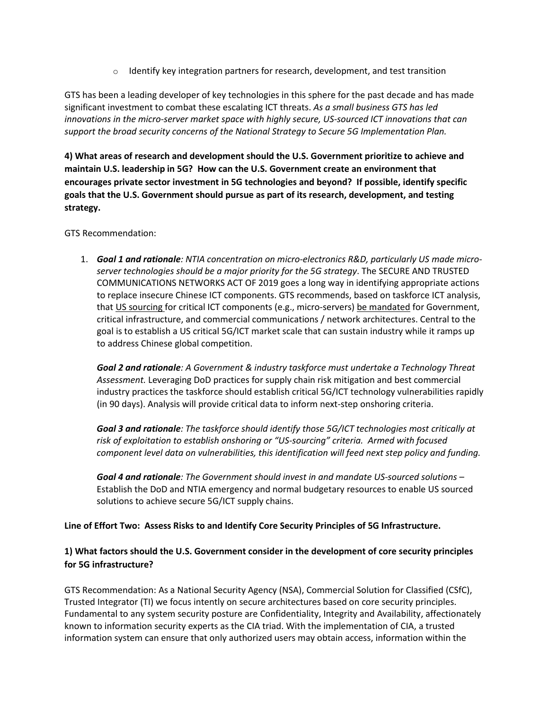$\circ$  Identify key integration partners for research, development, and test transition

GTS has been a leading developer of key technologies in this sphere for the past decade and has made significant investment to combat these escalating ICT threats. *As a small business GTS has led innovations in the micro-server market space with highly secure, US-sourced ICT innovations that can support the broad security concerns of the National Strategy to Secure 5G Implementation Plan.*

**4) What areas of research and development should the U.S. Government prioritize to achieve and maintain U.S. leadership in 5G? How can the U.S. Government create an environment that encourages private sector investment in 5G technologies and beyond? If possible, identify specific goals that the U.S. Government should pursue as part of its research, development, and testing strategy.** 

#### GTS Recommendation:

1. *Goal 1 and rationale: NTIA concentration on micro-electronics R&D, particularly US made microserver technologies should be a major priority for the 5G strategy*. The SECURE AND TRUSTED COMMUNICATIONS NETWORKS ACT OF 2019 goes a long way in identifying appropriate actions to replace insecure Chinese ICT components. GTS recommends, based on taskforce ICT analysis, that US sourcing for critical ICT components (e.g., micro-servers) be mandated for Government, critical infrastructure, and commercial communications / network architectures. Central to the goal is to establish a US critical 5G/ICT market scale that can sustain industry while it ramps up to address Chinese global competition.

*Goal 2 and rationale: A Government & industry taskforce must undertake a Technology Threat Assessment.* Leveraging DoD practices for supply chain risk mitigation and best commercial industry practices the taskforce should establish critical 5G/ICT technology vulnerabilities rapidly (in 90 days). Analysis will provide critical data to inform next-step onshoring criteria.

*Goal 3 and rationale: The taskforce should identify those 5G/ICT technologies most critically at risk of exploitation to establish onshoring or "US-sourcing" criteria. Armed with focused component level data on vulnerabilities, this identification will feed next step policy and funding.* 

*Goal 4 and rationale: The Government should invest in and mandate US-sourced solutions* – Establish the DoD and NTIA emergency and normal budgetary resources to enable US sourced solutions to achieve secure 5G/ICT supply chains.

**Line of Effort Two: Assess Risks to and Identify Core Security Principles of 5G Infrastructure.** 

## **1) What factors should the U.S. Government consider in the development of core security principles for 5G infrastructure?**

GTS Recommendation: As a National Security Agency (NSA), Commercial Solution for Classified (CSfC), Trusted Integrator (TI) we focus intently on secure architectures based on core security principles. Fundamental to any system security posture are Confidentiality, Integrity and Availability, affectionately known to information security experts as the CIA triad. With the implementation of CIA, a trusted information system can ensure that only authorized users may obtain access, information within the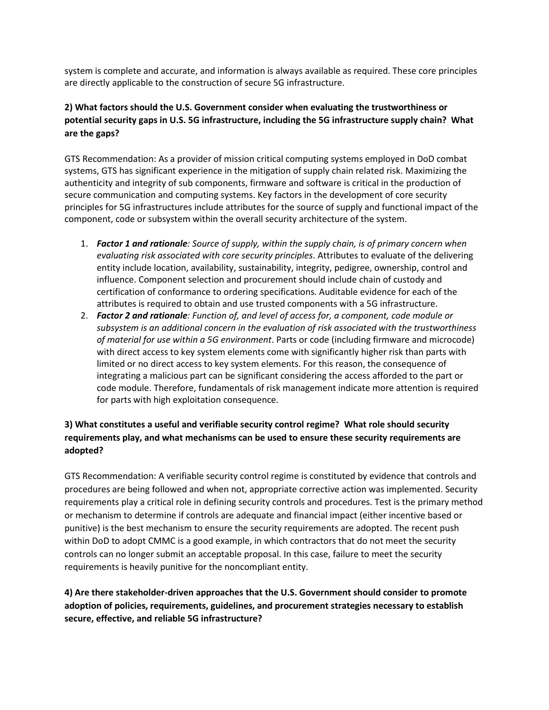system is complete and accurate, and information is always available as required. These core principles are directly applicable to the construction of secure 5G infrastructure.

# **2) What factors should the U.S. Government consider when evaluating the trustworthiness or potential security gaps in U.S. 5G infrastructure, including the 5G infrastructure supply chain? What are the gaps?**

GTS Recommendation: As a provider of mission critical computing systems employed in DoD combat systems, GTS has significant experience in the mitigation of supply chain related risk. Maximizing the authenticity and integrity of sub components, firmware and software is critical in the production of secure communication and computing systems. Key factors in the development of core security principles for 5G infrastructures include attributes for the source of supply and functional impact of the component, code or subsystem within the overall security architecture of the system.

- 1. *Factor 1 and rationale: Source of supply, within the supply chain, is of primary concern when evaluating risk associated with core security principles*. Attributes to evaluate of the delivering entity include location, availability, sustainability, integrity, pedigree, ownership, control and influence. Component selection and procurement should include chain of custody and certification of conformance to ordering specifications. Auditable evidence for each of the attributes is required to obtain and use trusted components with a 5G infrastructure.
- 2. *Factor 2 and rationale: Function of, and level of access for, a component, code module or subsystem is an additional concern in the evaluation of risk associated with the trustworthiness of material for use within a 5G environment*. Parts or code (including firmware and microcode) with direct access to key system elements come with significantly higher risk than parts with limited or no direct access to key system elements. For this reason, the consequence of integrating a malicious part can be significant considering the access afforded to the part or code module. Therefore, fundamentals of risk management indicate more attention is required for parts with high exploitation consequence.

# **3) What constitutes a useful and verifiable security control regime? What role should security requirements play, and what mechanisms can be used to ensure these security requirements are adopted?**

GTS Recommendation: A verifiable security control regime is constituted by evidence that controls and procedures are being followed and when not, appropriate corrective action was implemented. Security requirements play a critical role in defining security controls and procedures. Test is the primary method or mechanism to determine if controls are adequate and financial impact (either incentive based or punitive) is the best mechanism to ensure the security requirements are adopted. The recent push within DoD to adopt CMMC is a good example, in which contractors that do not meet the security controls can no longer submit an acceptable proposal. In this case, failure to meet the security requirements is heavily punitive for the noncompliant entity.

**4) Are there stakeholder-driven approaches that the U.S. Government should consider to promote adoption of policies, requirements, guidelines, and procurement strategies necessary to establish secure, effective, and reliable 5G infrastructure?**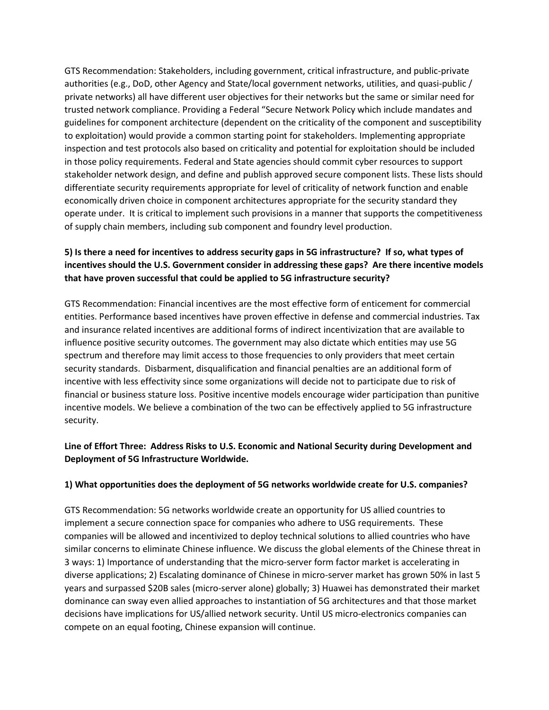GTS Recommendation: Stakeholders, including government, critical infrastructure, and public-private authorities (e.g., DoD, other Agency and State/local government networks, utilities, and quasi-public / private networks) all have different user objectives for their networks but the same or similar need for trusted network compliance. Providing a Federal "Secure Network Policy which include mandates and guidelines for component architecture (dependent on the criticality of the component and susceptibility to exploitation) would provide a common starting point for stakeholders. Implementing appropriate inspection and test protocols also based on criticality and potential for exploitation should be included in those policy requirements. Federal and State agencies should commit cyber resources to support stakeholder network design, and define and publish approved secure component lists. These lists should differentiate security requirements appropriate for level of criticality of network function and enable economically driven choice in component architectures appropriate for the security standard they operate under. It is critical to implement such provisions in a manner that supports the competitiveness of supply chain members, including sub component and foundry level production.

# **5) Is there a need for incentives to address security gaps in 5G infrastructure? If so, what types of incentives should the U.S. Government consider in addressing these gaps? Are there incentive models that have proven successful that could be applied to 5G infrastructure security?**

GTS Recommendation: Financial incentives are the most effective form of enticement for commercial entities. Performance based incentives have proven effective in defense and commercial industries. Tax and insurance related incentives are additional forms of indirect incentivization that are available to influence positive security outcomes. The government may also dictate which entities may use 5G spectrum and therefore may limit access to those frequencies to only providers that meet certain security standards. Disbarment, disqualification and financial penalties are an additional form of incentive with less effectivity since some organizations will decide not to participate due to risk of financial or business stature loss. Positive incentive models encourage wider participation than punitive incentive models. We believe a combination of the two can be effectively applied to 5G infrastructure security.

## **Line of Effort Three: Address Risks to U.S. Economic and National Security during Development and Deployment of 5G Infrastructure Worldwide.**

#### **1) What opportunities does the deployment of 5G networks worldwide create for U.S. companies?**

GTS Recommendation: 5G networks worldwide create an opportunity for US allied countries to implement a secure connection space for companies who adhere to USG requirements. These companies will be allowed and incentivized to deploy technical solutions to allied countries who have similar concerns to eliminate Chinese influence. We discuss the global elements of the Chinese threat in 3 ways: 1) Importance of understanding that the micro-server form factor market is accelerating in diverse applications; 2) Escalating dominance of Chinese in micro-server market has grown 50% in last 5 years and surpassed \$20B sales (micro-server alone) globally; 3) Huawei has demonstrated their market dominance can sway even allied approaches to instantiation of 5G architectures and that those market decisions have implications for US/allied network security. Until US micro-electronics companies can compete on an equal footing, Chinese expansion will continue.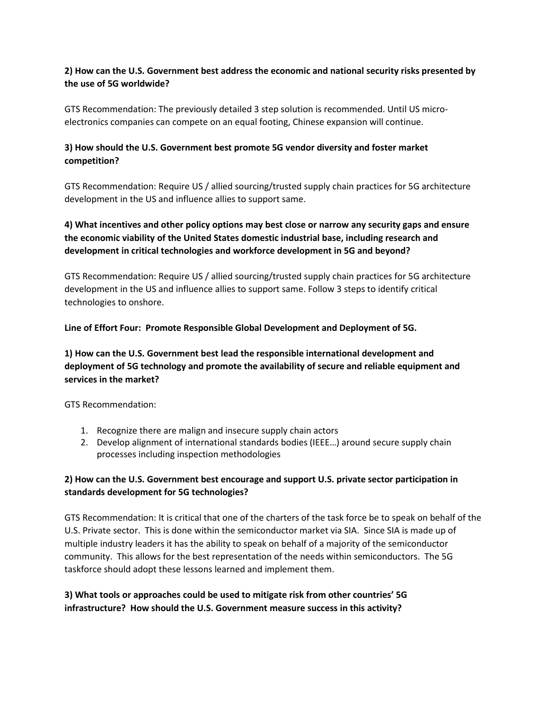### **2) How can the U.S. Government best address the economic and national security risks presented by the use of 5G worldwide?**

GTS Recommendation: The previously detailed 3 step solution is recommended. Until US microelectronics companies can compete on an equal footing, Chinese expansion will continue.

# **3) How should the U.S. Government best promote 5G vendor diversity and foster market competition?**

GTS Recommendation: Require US / allied sourcing/trusted supply chain practices for 5G architecture development in the US and influence allies to support same.

# **4) What incentives and other policy options may best close or narrow any security gaps and ensure the economic viability of the United States domestic industrial base, including research and development in critical technologies and workforce development in 5G and beyond?**

GTS Recommendation: Require US / allied sourcing/trusted supply chain practices for 5G architecture development in the US and influence allies to support same. Follow 3 steps to identify critical technologies to onshore.

**Line of Effort Four: Promote Responsible Global Development and Deployment of 5G.** 

# **1) How can the U.S. Government best lead the responsible international development and deployment of 5G technology and promote the availability of secure and reliable equipment and services in the market?**

GTS Recommendation:

- 1. Recognize there are malign and insecure supply chain actors
- 2. Develop alignment of international standards bodies (IEEE…) around secure supply chain processes including inspection methodologies

## **2) How can the U.S. Government best encourage and support U.S. private sector participation in standards development for 5G technologies?**

GTS Recommendation: It is critical that one of the charters of the task force be to speak on behalf of the U.S. Private sector. This is done within the semiconductor market via SIA. Since SIA is made up of multiple industry leaders it has the ability to speak on behalf of a majority of the semiconductor community. This allows for the best representation of the needs within semiconductors. The 5G taskforce should adopt these lessons learned and implement them.

## **3) What tools or approaches could be used to mitigate risk from other countries' 5G infrastructure? How should the U.S. Government measure success in this activity?**